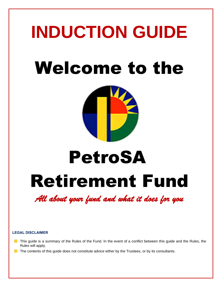# **INDUCTION GUIDE** Welcome to the



# Retirement Fund PetroSA

*All about your fund and what it does for you* 

#### **LEGAL DISCLAIMER**

- **This guide is a summary of the Rules of the Fund. In the event of a conflict between this guide and the Rules, the** Rules will apply.
- The contents of this guide does not constitute advice either by the Trustees, or by its consultants.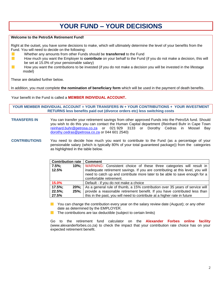# **YOUR FUND – YOUR DECISIONS**

#### **Welcome to the PetroSA Retirement Fund!**

Right at the outset, you have some decisions to make, which will ultimately determine the level of your benefits from the Fund. You will need to decide on the following:

- Whether any amounts from other Funds should be **transferred** to the Fund
- $\mathcal{C}^{\mathcal{A}}$ How much you want the Employer to **contribute** on your behalf to the Fund (if you do not make a decision, this will be set at 15.0% of your pensionable salary)
- $\mathcal{L}_{\mathcal{A}}$ How you want the contributions to be invested (if you do not make a decision you will be invested in the lifestage model)

These are detailed further below.

In addition, you must complete **the nomination of beneficiary form** which will be used in the payment of death benefits.

#### Your benefit in the Fund is called a **MEMBER INDIVIDUAL ACCOUNT.**

#### **YOUR MEMBER INDIVIDUAL ACCOUNT = YOUR TRANSFERS IN + YOUR CONTRIBUTIONS + YOUR INVESTMENT RETURNS less benefits paid out (divorce orders etc) less switching costs**

- **TRANSFERS IN** You can transfer your retirement savings from other approved Funds into the PetroSA fund. Should you wish to do this you can contact the Human Capital department (Reinhard Buhr in Cape Town [reinhard.buhr@petrosa.co.za](mailto:reinhard.buhr@petrosa.co.za) or 021 929 3133 or Dorothy Cedras in Mossel Bay [dorothy.cedras@petrosa.co.za](mailto:dorothy.cedras@petrosa.co.za) or 044 601 2540)
- **CONTRIBUTIONS** You need to decide how much you want to contribute to the Fund (as a percentage of your pensionable salary (which is typically 80% of your total guaranteed package)) from the categories as highlighted in the table below.

| Contribution rate               |                     | <b>Comment</b>                                                                                                                                                                                                                                                 |
|---------------------------------|---------------------|----------------------------------------------------------------------------------------------------------------------------------------------------------------------------------------------------------------------------------------------------------------|
| $7.5\%$ ;<br>12.5%              | $10\%$              | WARNING: Consistent choice of these three categories will result in<br>inadequate retirement savings. If you are contributing at this level, you will<br>need to catch up and contribute more later to be able to save enough for a<br>comfortable retirement. |
| 15.0%                           |                     | Default - if you do not make a choice                                                                                                                                                                                                                          |
| $17.5\%$ ;<br>$22.5\%$<br>27.5% | $20\%$ :<br>$25%$ : | As a general rule of thumb, a 15% contribution over 35 years of service will<br>provide a reasonable retirement benefit. If you have contributed less than<br>this in the past, you will need to contribute at a higher rate in future                         |

You can change the contribution every year on the salary review date (August); or any other date as determined by the EMPLOYER.

 $\blacksquare$  The contributions are tax deductible (subject to certain limits)

Go to the retirement fund calculator on the **Alexander Forbes online facility** (www.alexanderforbes.co.za) to check the impact that your contribution rate choice has on your expected retirement benefit.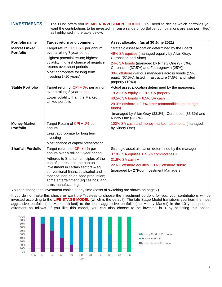**INVESTMENTS** The Fund offers you **MEMBER INVESTMENT CHOICE.** You need to decide which portfolios you want the contributions to be invested in from a range of portfolios (combinations are also permitted) as highlighted in the table below.

| Portfolio name                           | <b>Target return and comment</b>                                                                                                                                                                                                                                                                                                   | Asset allocation (as at 30 June 2021)                                                                                                                                                                                                                                                                                                                            |
|------------------------------------------|------------------------------------------------------------------------------------------------------------------------------------------------------------------------------------------------------------------------------------------------------------------------------------------------------------------------------------|------------------------------------------------------------------------------------------------------------------------------------------------------------------------------------------------------------------------------------------------------------------------------------------------------------------------------------------------------------------|
| <b>Market Linked</b><br><b>Portfolio</b> | Target return CPI + 5% per annum<br>over a rolling 7 year period<br>Highest potential return; highest<br>volatility; highest chance of negative<br>returns over short periods<br>Most appropriate for long term<br>investing (>10 years)                                                                                           | Strategic asset allocation determined by the Board.<br>46% SA equities (managed equally by Allan Gray,<br>Coronation and Abax)<br>24% SA bonds (managed by Ninety One (37.5%),<br>Coronation (37.5%) and Futuregrowth (25%))<br>30% offshore (various managers across bonds (15%);<br>equity (67.5%); listed infrastructure (7.5%) and listed<br>property (10%)) |
| <b>Stable Portfolio</b>                  | Target return of CPI + 3% per annum<br>over a rolling 3 year period<br>Lower volatility than the Market<br>Linked portfolio                                                                                                                                                                                                        | Actual asset allocation determined by the managers.<br>19.2% SA equity + 1.8% SA property<br>40.5% SA bonds + 6.5% SA cash<br>29.3% offshore + 2.7% other (commodities and hedge<br>funds)<br>(managed by Allan Gray (33.3%), Coronation (33.3%) and<br>Ninety One (33.3%)                                                                                       |
| <b>Money Market</b><br><b>Portfolio</b>  | Target Return of CPI + 1% per<br>annum<br>Least appropriate for long term<br>investing<br>Most chance of capital preservation                                                                                                                                                                                                      | 100% SA cash and money market instruments (managed<br>by Ninety One)                                                                                                                                                                                                                                                                                             |
| <b>Shari'ah Portfolio</b>                | Target returns of CPI + 4% per<br>annum over a rolling 5 year period<br>Adheres to Shari'ah principles of the<br>ban of interest and the ban on<br>investment in certain sectors - eg<br>conventional financial, alcohol and<br>tobacco; non-halaal food production;<br>some entertainment (eg casinos) and<br>arms manufacturing. | Strategic asset allocation determined by the manager<br>37.8% SA equities + 4.5% commodities +<br>31.6% SA cash +<br>22.6% offshore equities + 3.6% offshore sukuk<br>(managed by 27Four Investment Managers)                                                                                                                                                    |

You can change the investment choice at any time (costs of switching are shown on page 7).

If you do not make this choice or want the Trustees to choose the investment portfolio for you, your contributions will be invested according to the **LIFE STAGE MODEL** (which is the default). The Life Stage Model transitions you from the most aggressive portfolio (the Market Linked) to the least aggressive portfolio (the Money Market) in the 10 years prior to etirement as follows. If you like this model, you can also choose to be invested in it by selecting this option.

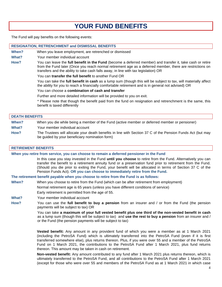# **YOUR FUND BENEFITS**

The Fund will pay benefits on the following events:

| <b>RESIGNATION, RETRENCHMENT and DISMISSAL BENEFITS</b> |                                                                                                                                                                                                                                                                                                                |  |  |
|---------------------------------------------------------|----------------------------------------------------------------------------------------------------------------------------------------------------------------------------------------------------------------------------------------------------------------------------------------------------------------|--|--|
| When?                                                   | When you leave employment, are retrenched or dismissed                                                                                                                                                                                                                                                         |  |  |
| What?                                                   | Your member individual account                                                                                                                                                                                                                                                                                 |  |  |
| How?                                                    | You can leave the full benefit in the Fund (become a deferred member) and transfer it, take cash or retire<br>from the Fund later (Once you reach normal retirement age as a deferred member, there are restrictions on<br>transfers and the ability to take cash falls away, in line with tax legislation) OR |  |  |
|                                                         | You can transfer the full benefit to another Fund OR                                                                                                                                                                                                                                                           |  |  |
|                                                         | You can take the full benefit in cash as a lump sum (though this will be subject to tax, will materially affect<br>the ability for you to reach a financially comfortable retirement and is in general not advised) OR                                                                                         |  |  |
|                                                         | You can choose a <b>combination of cash and transfer</b>                                                                                                                                                                                                                                                       |  |  |
|                                                         | Further and more detailed information will be provided to you on exit.                                                                                                                                                                                                                                         |  |  |
|                                                         | * Place note that though the benefit paid from the fund on recignation and retrepolyment is the same this                                                                                                                                                                                                      |  |  |

Please note that though the benefit paid from the fund on resignation and retrenchment is the same, this benefit is taxed differently

| <b>DEATH BENEFITS</b> |                                                                                                                                                              |  |
|-----------------------|--------------------------------------------------------------------------------------------------------------------------------------------------------------|--|
| When?                 | When you die while being a member of the Fund (active member or deferred member or pensioner)                                                                |  |
| What?                 | Your member individual account                                                                                                                               |  |
| How?                  | The Trustees will allocate your death benefits in line with Section 37 C of the Pension Funds Act (but may<br>be guided by your beneficiary nomination form) |  |

#### **RETIREMENT BENEFITS**

**When you retire from service, you can choose to remain a deferred pensioner in the Fund** In this case you stay invested in the Fund **until you choose** to retire from the Fund. Alternatively you can transfer the benefit to a retirement annuity fund or a preservation fund prior to retirement from the Fund. (Should you die prior to exiting the Fund, your benefit will be allocated in terms of Section 37 C of the Pension Funds Act). **OR you can choose to immediately retire from the Fund. The retirement benefit payable when you choose to retire from the Fund is as follows: When?** When you choose to retire from the Fund (which can be after retirement from employment) Normal retirement age is 65 years (unless you have different conditions of service) Early retirement is permitted from the age of 55. **What?** Your member individual account **How?** You can use the **full benefit to buy a pension** from an insurer and / or from the Fund (the pension payments will be subject to tax) OR You can take **a maximum of your full vested benefit plus one third of the non-vested benefit in cash** as a lump sum (though this will be subject to tax) and **use the rest to buy a pension** from an insurer and / or the Fund (the pension payments will be subject to tax) **Vested benefit:** Any amount in any provident fund of which you were a member as at 1 March 2021 (including the PetroSA Fund) which is ultimately transferred into the PetroSA Fund (even if it is first transferred somewhere else), plus returns thereon. Plus, if you were over 55 and a member of the PetroSA Fund on 1 March 2021, the contributions to the PetroSA Fund after 1 March 2021, plus fund returns

thereon. This amount may be taken in cash on retirement.

**Non-vested benefit:** Any amount contributed to any fund after 1 March 2021 plus returns thereon, which is ultimately transferred to the PetroSA Fund, and all contributions to the PetroSA Fund after 1 March 2021 (except for those who were over 55 and members of the PetroSA Fund as at 1 March 2021 in which case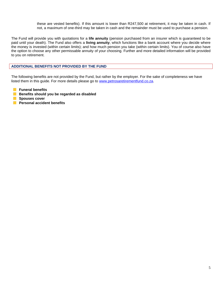these are vested benefits). If this amount is lower than R247,500 at retirement, it may be taken in cash. If not, a maximum of one-third may be taken in cash and the remainder must be used to purchase a pension.

The Fund will provide you with quotations for a **life annuity** (pension purchased from an insurer which is guaranteed to be paid until your death). The Fund also offers a **living annuity**, which functions like a bank account where you decide where the money is invested (within certain limits); and how much pension you take (within certain limits). You of course also have the option to choose any other permissable annuity of your choosing. Further and more detailed information will be provided to you on retirement.

#### **ADDITIONAL BENEFITS NOT PROVIDED BY THE FUND**

The following benefits are not provided by the Fund, but rather by the employer. For the sake of completeness we have listed them in this guide. For more details please go to [www.petrosaretirementfund.co.za.](http://www.petrosaretirementfund.co.za/)

- **Funeral benefits**
- **Benefits should you be regarded as disabled**
- **Spouses cover**
- **Personal accident benefits**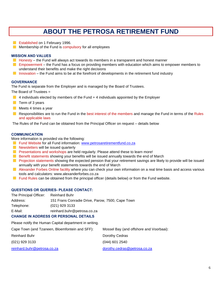### **ABOUT THE PETROSA RETIREMENT FUND**

- **Exablished on 1 February 1996.**
- Membership of the Fund is compulsory for all employees

#### **MISSION AND VALUES**

- $\blacksquare$  Honesty the Fund will always act towards its members in a transparent and honest manner
- **E** Empowerment the Fund has a focus on providing members with education which aims to empower members to understand their benefits and make the right decisions
- Innovation the Fund aims to be at the forefront of developments in the retirement fund industry

#### **GOVERNANCE**

The Fund is separate from the Employer and is managed by the Board of Trustees.

The Board of Trustees =

- $\blacksquare$  4 individuals elected by members of the Fund + 4 individuals appointed by the Employer
- $\blacksquare$  Term of 3 years
- Meets 4 times a year
- **Responsibilities are to run the Fund in the best interest of the members and manage the Fund in terms of the Rules** and applicable laws

The Rules of the Fund can be obtained from the Principal Officer on request – details below

#### **COMMUNICATION**

More information is provided via the following:

- **Fund Website for all Fund information: [www.petrosaretirementfund.co.za](http://www.petrosaretirementfund.co.za/)**
- Newsletters will be issued quarterly
- **Presentations and workshops are held regularly. Please attend these to learn more!**
- **Benefit statements showing your benefits will be issued annually towards the end of March**
- **Projection statements showing the expected pension that your retirement savings are likely to provide will be issued** annually with your benefit statements towards the end of March
- Alexander Forbes Online facility where you can check your own information on a real time basis and access various tools and calculators: www.alexanderforbes.co.za
- **Fund Rules can be obtained from the principal officer (details below) or from the Fund website.**

#### **QUESTIONS OR QUERIES- PLEASE CONTACT:**

| The Principal Officer: | <b>Reinhard Buhr</b>                             |
|------------------------|--------------------------------------------------|
| Address:               | 151 Frans Conradie Drive, Parow, 7500, Cape Town |
| Telephone:             | $(021)$ 929 3133                                 |
| E-Mail:                | reinhard.buhr@petrosa.co.za                      |
|                        |                                                  |

#### **CHANGE IN ADDRESS OR PERSONAL DETAILS**

Please notify the Human Capital department in writing.

| Cape Town (and Tzaneen, Bloemfontein and SFF): | Mossel Bay (and offshore and Voorbaai): |
|------------------------------------------------|-----------------------------------------|
| <b>Reinhard Buhr</b>                           | Dorothy Cedras                          |
| (021) 929 3133                                 | $(044)$ 601 2540                        |
| reinhard.buhr@petrosa.co.za                    | dorothy.cedras@petrosa.co.za            |